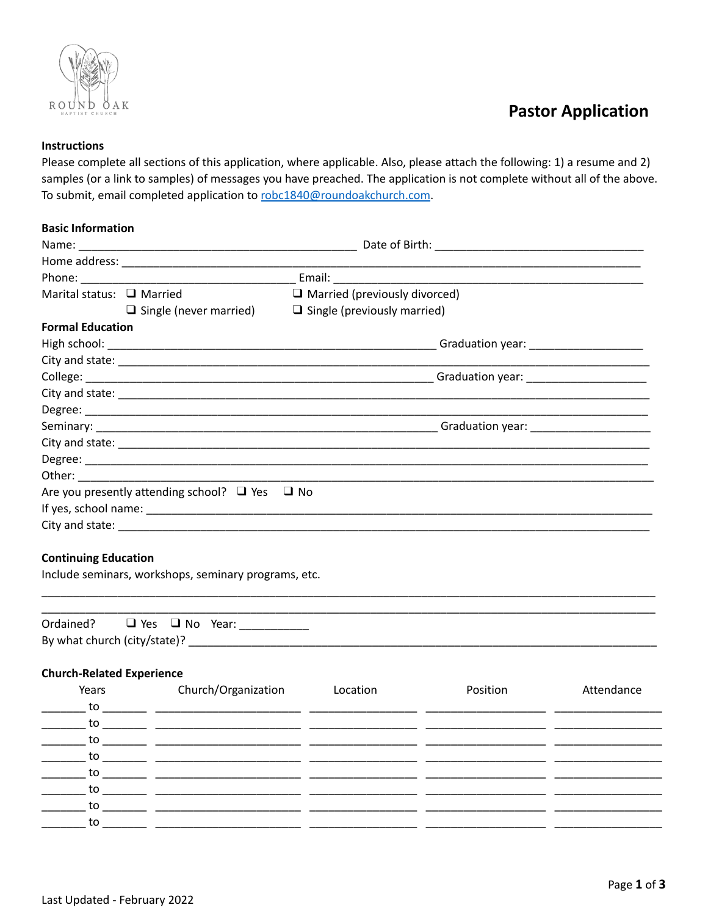

## **Pastor Application**

### **Instructions**

Please complete all sections of this application, where applicable. Also, please attach the following: 1) a resume and 2) samples (or a link to samples) of messages you have preached. The application is not complete without all of the above. To submit, email completed application to robc1840@roundoakchurch.com.

#### **Basic Information**

| Marital status: $\Box$ Married                       |                                                          | $\Box$ Married (previously divorced)                             |  |  |  |
|------------------------------------------------------|----------------------------------------------------------|------------------------------------------------------------------|--|--|--|
|                                                      |                                                          | $\Box$ Single (never married) $\Box$ Single (previously married) |  |  |  |
| <b>Formal Education</b>                              |                                                          |                                                                  |  |  |  |
|                                                      |                                                          |                                                                  |  |  |  |
|                                                      |                                                          |                                                                  |  |  |  |
|                                                      |                                                          |                                                                  |  |  |  |
|                                                      |                                                          |                                                                  |  |  |  |
|                                                      |                                                          |                                                                  |  |  |  |
|                                                      |                                                          |                                                                  |  |  |  |
|                                                      |                                                          |                                                                  |  |  |  |
|                                                      |                                                          |                                                                  |  |  |  |
|                                                      |                                                          |                                                                  |  |  |  |
|                                                      | Are you presently attending school? $\Box$ Yes $\Box$ No |                                                                  |  |  |  |
|                                                      |                                                          |                                                                  |  |  |  |
|                                                      |                                                          |                                                                  |  |  |  |
|                                                      |                                                          |                                                                  |  |  |  |
| <b>Continuing Education</b>                          |                                                          |                                                                  |  |  |  |
| Include seminars, workshops, seminary programs, etc. |                                                          |                                                                  |  |  |  |
|                                                      |                                                          |                                                                  |  |  |  |

| Ordained?                    | $\Box$ Yes $\Box$ No Year: |  |
|------------------------------|----------------------------|--|
| By what church (city/state)? |                            |  |

#### **Church-Related Experience**

| Years         | Church/Organization                                                                         | Location | Position | Attendance |
|---------------|---------------------------------------------------------------------------------------------|----------|----------|------------|
| to to         |                                                                                             |          |          |            |
| $\mathsf{to}$ |                                                                                             |          |          |            |
|               |                                                                                             |          |          |            |
| <b>to</b>     | <u> 1989 - Andrea State Barbara, ann an Cathair ann an Cathair ann an Cathair ann an t-</u> |          |          |            |
| to to         |                                                                                             |          |          |            |
| to to         |                                                                                             |          |          |            |
| to            |                                                                                             |          |          |            |
| to to         |                                                                                             |          |          |            |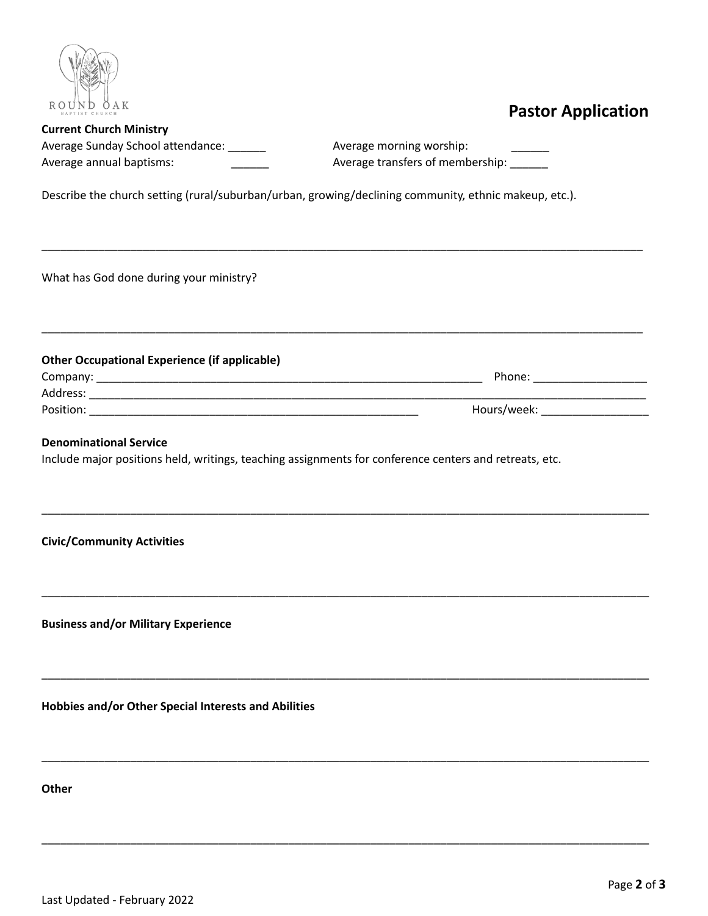

## **Pastor Application**

| <b>Current Church Ministry</b>    |  |
|-----------------------------------|--|
| Average Sunday School attendance: |  |
| Average annual baptisms:          |  |

Average morning worship: Average transfers of membership: \_\_\_\_\_

Describe the church setting (rural/suburban/urban, growing/declining community, ethnic makeup, etc.).

\_\_\_\_\_\_\_\_\_\_\_\_\_\_\_\_\_\_\_\_\_\_\_\_\_\_\_\_\_\_\_\_\_\_\_\_\_\_\_\_\_\_\_\_\_\_\_\_\_\_\_\_\_\_\_\_\_\_\_\_\_\_\_\_\_\_\_\_\_\_\_\_\_\_\_\_\_\_\_\_\_\_\_\_\_\_\_\_\_\_\_\_\_\_\_

\_\_\_\_\_\_\_\_\_\_\_\_\_\_\_\_\_\_\_\_\_\_\_\_\_\_\_\_\_\_\_\_\_\_\_\_\_\_\_\_\_\_\_\_\_\_\_\_\_\_\_\_\_\_\_\_\_\_\_\_\_\_\_\_\_\_\_\_\_\_\_\_\_\_\_\_\_\_\_\_\_\_\_\_\_\_\_\_\_\_\_\_\_\_\_

\_\_\_\_\_\_\_\_\_\_\_\_\_\_\_\_\_\_\_\_\_\_\_\_\_\_\_\_\_\_\_\_\_\_\_\_\_\_\_\_\_\_\_\_\_\_\_\_\_\_\_\_\_\_\_\_\_\_\_\_\_\_\_\_\_\_\_\_\_\_\_\_\_\_\_\_\_\_\_\_\_\_\_\_\_\_\_\_\_\_\_\_\_\_\_\_

\_\_\_\_\_\_\_\_\_\_\_\_\_\_\_\_\_\_\_\_\_\_\_\_\_\_\_\_\_\_\_\_\_\_\_\_\_\_\_\_\_\_\_\_\_\_\_\_\_\_\_\_\_\_\_\_\_\_\_\_\_\_\_\_\_\_\_\_\_\_\_\_\_\_\_\_\_\_\_\_\_\_\_\_\_\_\_\_\_\_\_\_\_\_\_\_

\_\_\_\_\_\_\_\_\_\_\_\_\_\_\_\_\_\_\_\_\_\_\_\_\_\_\_\_\_\_\_\_\_\_\_\_\_\_\_\_\_\_\_\_\_\_\_\_\_\_\_\_\_\_\_\_\_\_\_\_\_\_\_\_\_\_\_\_\_\_\_\_\_\_\_\_\_\_\_\_\_\_\_\_\_\_\_\_\_\_\_\_\_\_\_\_

\_\_\_\_\_\_\_\_\_\_\_\_\_\_\_\_\_\_\_\_\_\_\_\_\_\_\_\_\_\_\_\_\_\_\_\_\_\_\_\_\_\_\_\_\_\_\_\_\_\_\_\_\_\_\_\_\_\_\_\_\_\_\_\_\_\_\_\_\_\_\_\_\_\_\_\_\_\_\_\_\_\_\_\_\_\_\_\_\_\_\_\_\_\_\_\_

\_\_\_\_\_\_\_\_\_\_\_\_\_\_\_\_\_\_\_\_\_\_\_\_\_\_\_\_\_\_\_\_\_\_\_\_\_\_\_\_\_\_\_\_\_\_\_\_\_\_\_\_\_\_\_\_\_\_\_\_\_\_\_\_\_\_\_\_\_\_\_\_\_\_\_\_\_\_\_\_\_\_\_\_\_\_\_\_\_\_\_\_\_\_\_\_

What has God done during your ministry?

### **Other Occupational Experience (if applicable)**

Company: \_\_\_\_\_\_\_\_\_\_\_\_\_\_\_\_\_\_\_\_\_\_\_\_\_\_\_\_\_\_\_\_\_\_\_\_\_\_\_\_\_\_\_\_\_\_\_\_\_\_\_\_\_\_\_\_\_\_\_\_\_ Phone: \_\_\_\_\_\_\_\_\_\_\_\_\_\_\_\_\_\_ Address: \_\_\_\_\_\_\_\_\_\_\_\_\_\_\_\_\_\_\_\_\_\_\_\_\_\_\_\_\_\_\_\_\_\_\_\_\_\_\_\_\_\_\_\_\_\_\_\_\_\_\_\_\_\_\_\_\_\_\_\_\_\_\_\_\_\_\_\_\_\_\_\_\_\_\_\_\_\_\_\_\_\_\_\_\_\_\_\_

Position: \_\_\_\_\_\_\_\_\_\_\_\_\_\_\_\_\_\_\_\_\_\_\_\_\_\_\_\_\_\_\_\_\_\_\_\_\_\_\_\_\_\_\_\_\_\_\_\_\_\_\_\_ Hours/week: \_\_\_\_\_\_\_\_\_\_\_\_\_\_\_\_\_

### **Denominational Service**

Include major positions held, writings, teaching assignments for conference centers and retreats, etc.

**Civic/Community Activities**

**Business and/or Military Experience**

**Hobbies and/or Other Special Interests and Abilities**

**Other**